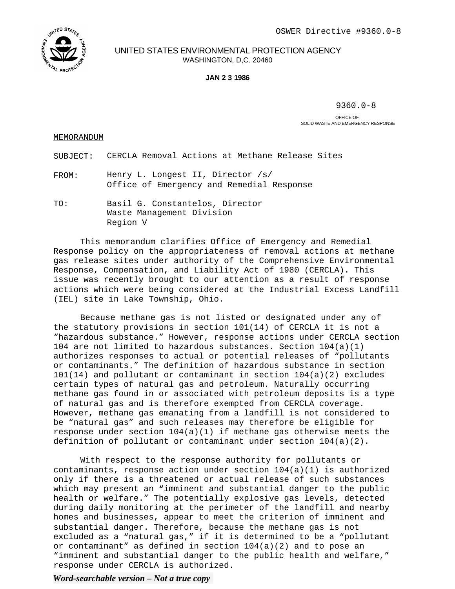

UNITED STATES ENVIRONMENTAL PROTECTION AGENCY WASHINGTON, D,C. 20460

## **JAN 2 3 1986**

9360.0-8

OFFICE OF SOLID WASTE AND EMERGENCY RESPONSE

## MEMORANDUM

SUBJECT: CERCLA Removal Actions at Methane Release Sites

- FROM: Henry L. Longest II, Director /s/ Office of Emergency and Remedial Response
- TO: Basil G. Constantelos, Director Waste Management Division Region V

This memorandum clarifies Office of Emergency and Remedial Response policy on the appropriateness of removal actions at methane gas release sites under authority of the Comprehensive Environmental Response, Compensation, and Liability Act of 1980 (CERCLA). This issue was recently brought to our attention as a result of response actions which were being considered at the Industrial Excess Landfill (IEL) site in Lake Township, Ohio.

Because methane gas is not listed or designated under any of the statutory provisions in section 101(14) of CERCLA it is not a "hazardous substance." However, response actions under CERCLA section 104 are not limited to hazardous substances. Section  $104(a)(1)$ authorizes responses to actual or potential releases of "pollutants or contaminants." The definition of hazardous substance in section 101(14) and pollutant or contaminant in section 104(a)(2) excludes certain types of natural gas and petroleum. Naturally occurring methane gas found in or associated with petroleum deposits is a type of natural gas and is therefore exempted from CERCLA coverage. However, methane gas emanating from a landfill is not considered to be "natural gas" and such releases may therefore be eligible for response under section  $104(a)(1)$  if methane gas otherwise meets the definition of pollutant or contaminant under section  $104(a)(2)$ .

With respect to the response authority for pollutants or contaminants, response action under section  $104(a)(1)$  is authorized only if there is a threatened or actual release of such substances which may present an "imminent and substantial danger to the public health or welfare." The potentially explosive gas levels, detected during daily monitoring at the perimeter of the landfill and nearby homes and businesses, appear to meet the criterion of imminent and substantial danger. Therefore, because the methane gas is not excluded as a "natural gas," if it is determined to be a "pollutant or contaminant" as defined in section  $104(a)(2)$  and to pose an "imminent and substantial danger to the public health and welfare," response under CERCLA is authorized.

## *Word-searchable version – Not a true copy*